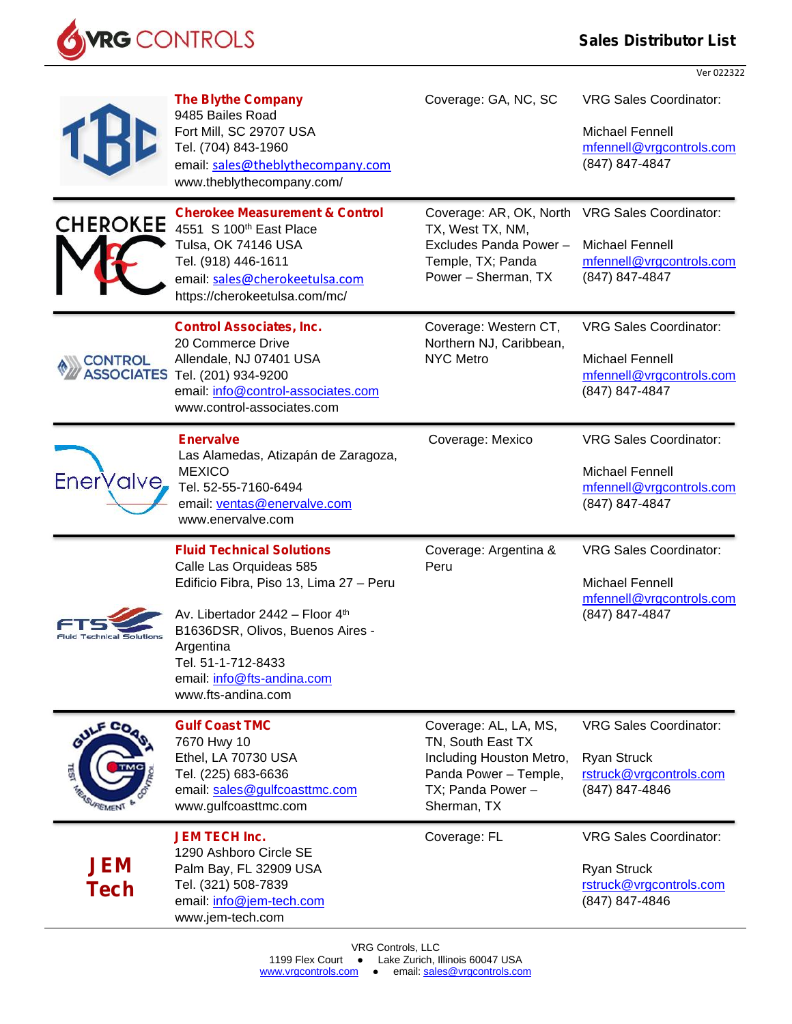## **Sales Distributor List**

Ver 022322



|                                     | <b>The Blythe Company</b><br>9485 Bailes Road<br>Fort Mill, SC 29707 USA<br>Tel. (704) 843-1960<br>email: sales@theblythecompany.com<br>www.theblythecompany.com/                                                                                                    | Coverage: GA, NC, SC                                                                                                                    | <b>VRG Sales Coordinator:</b><br>Michael Fennell<br>mfennell@vrgcontrols.com<br>(847) 847-4847        |
|-------------------------------------|----------------------------------------------------------------------------------------------------------------------------------------------------------------------------------------------------------------------------------------------------------------------|-----------------------------------------------------------------------------------------------------------------------------------------|-------------------------------------------------------------------------------------------------------|
| <b>CHEROKEE</b>                     | <b>Cherokee Measurement &amp; Control</b><br>4551 S 100 <sup>th</sup> East Place<br>Tulsa, OK 74146 USA<br>Tel. (918) 446-1611<br>email: sales@cherokeetulsa.com<br>https://cherokeetulsa.com/mc/                                                                    | Coverage: AR, OK, North VRG Sales Coordinator:<br>TX, West TX, NM,<br>Excludes Panda Power-<br>Temple, TX; Panda<br>Power - Sherman, TX | <b>Michael Fennell</b><br>mfennell@vrgcontrols.com<br>(847) 847-4847                                  |
| <b>CONTROL</b><br><b>ASSOCIATES</b> | <b>Control Associates, Inc.</b><br>20 Commerce Drive<br>Allendale, NJ 07401 USA<br>Tel. (201) 934-9200<br>email: info@control-associates.com<br>www.control-associates.com                                                                                           | Coverage: Western CT,<br>Northern NJ, Caribbean,<br><b>NYC Metro</b>                                                                    | <b>VRG Sales Coordinator:</b><br>Michael Fennell<br>mfennell@vrgcontrols.com<br>(847) 847-4847        |
| EnerValve,                          | <b>Enervalve</b><br>Las Alamedas, Atizapán de Zaragoza,<br><b>MEXICO</b><br>Tel. 52-55-7160-6494<br>email: ventas@enervalve.com<br>www.enervalve.com                                                                                                                 | Coverage: Mexico                                                                                                                        | <b>VRG Sales Coordinator:</b><br><b>Michael Fennell</b><br>mfennell@vrgcontrols.com<br>(847) 847-4847 |
| <b>Fluid Technical Solutions</b>    | <b>Fluid Technical Solutions</b><br>Calle Las Orquideas 585<br>Edificio Fibra, Piso 13, Lima 27 - Peru<br>Av. Libertador 2442 - Floor 4th<br>B1636DSR, Olivos, Buenos Aires -<br>Argentina<br>Tel. 51-1-712-8433<br>email: info@fts-andina.com<br>www.fts-andina.com | Coverage: Argentina &<br>Peru                                                                                                           | <b>VRG Sales Coordinator:</b><br><b>Michael Fennell</b><br>mfennell@vrgcontrols.com<br>(847) 847-4847 |
| GULF CO <sub>O</sub><br>g<br>REMENT | <b>Gulf Coast TMC</b><br>7670 Hwy 10<br>Ethel, LA 70730 USA<br>Tel. (225) 683-6636<br>email: sales@gulfcoasttmc.com<br>www.gulfcoasttmc.com                                                                                                                          | Coverage: AL, LA, MS,<br>TN, South East TX<br>Including Houston Metro,<br>Panda Power - Temple,<br>TX; Panda Power -<br>Sherman, TX     | <b>VRG Sales Coordinator:</b><br><b>Ryan Struck</b><br>rstruck@vrgcontrols.com<br>(847) 847-4846      |
| <b>JEM</b><br>Tech                  | <b>JEM TECH Inc.</b><br>1290 Ashboro Circle SE<br>Palm Bay, FL 32909 USA<br>Tel. (321) 508-7839<br>email: info@jem-tech.com<br>www.jem-tech.com                                                                                                                      | Coverage: FL                                                                                                                            | <b>VRG Sales Coordinator:</b><br>Ryan Struck<br>rstruck@vrgcontrols.com<br>(847) 847-4846             |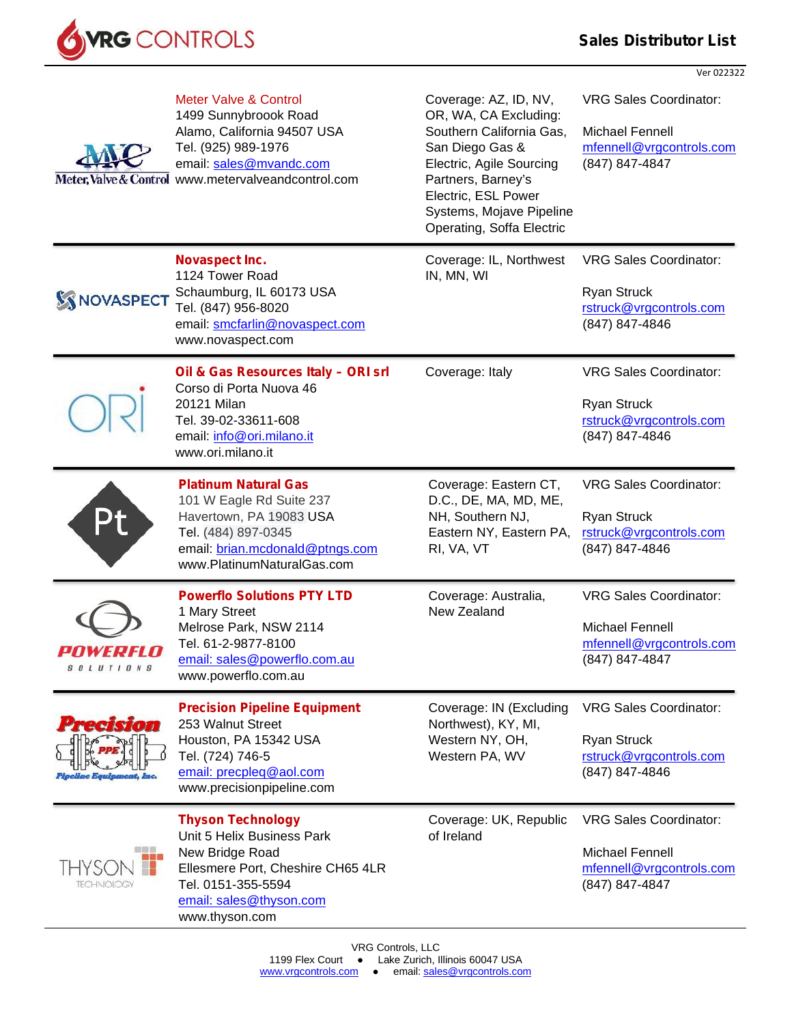

Ver 022322

| Meter, Valve & Control              | <b>Meter Valve &amp; Control</b><br>1499 Sunnybroook Road<br>Alamo, California 94507 USA<br>Tel. (925) 989-1976<br>email: sales@mvandc.com<br>www.metervalveandcontrol.com        | Coverage: AZ, ID, NV,<br>OR, WA, CA Excluding:<br>Southern California Gas,<br>San Diego Gas &<br>Electric, Agile Sourcing<br>Partners, Barney's<br>Electric, ESL Power<br>Systems, Mojave Pipeline<br>Operating, Soffa Electric | <b>VRG Sales Coordinator:</b><br>Michael Fennell<br>mfennell@vrgcontrols.com<br>(847) 847-4847        |
|-------------------------------------|-----------------------------------------------------------------------------------------------------------------------------------------------------------------------------------|---------------------------------------------------------------------------------------------------------------------------------------------------------------------------------------------------------------------------------|-------------------------------------------------------------------------------------------------------|
| <b>S</b> NOVASPECT                  | Novaspect Inc.<br>1124 Tower Road<br>Schaumburg, IL 60173 USA<br>Tel. (847) 956-8020<br>email: smcfarlin@novaspect.com<br>www.novaspect.com                                       | Coverage: IL, Northwest<br>IN, MN, WI                                                                                                                                                                                           | <b>VRG Sales Coordinator:</b><br><b>Ryan Struck</b><br>rstruck@vrgcontrols.com<br>(847) 847-4846      |
|                                     | Oil & Gas Resources Italy - ORI srl<br>Corso di Porta Nuova 46<br>20121 Milan<br>Tel. 39-02-33611-608<br>email: info@ori.milano.it<br>www.ori.milano.it                           | Coverage: Italy                                                                                                                                                                                                                 | <b>VRG Sales Coordinator:</b><br><b>Ryan Struck</b><br>rstruck@vrgcontrols.com<br>(847) 847-4846      |
|                                     | <b>Platinum Natural Gas</b><br>101 W Eagle Rd Suite 237<br>Havertown, PA 19083 USA<br>Tel. (484) 897-0345<br>email: brian.mcdonald@ptngs.com<br>www.PlatinumNaturalGas.com        | Coverage: Eastern CT,<br>D.C., DE, MA, MD, ME,<br>NH, Southern NJ,<br>Eastern NY, Eastern PA,<br>RI, VA, VT                                                                                                                     | <b>VRG Sales Coordinator:</b><br><b>Ryan Struck</b><br>rstruck@vrgcontrols.com<br>(847) 847-4846      |
| enwepeln<br><b>SOLUTIONS</b>        | <b>Powerflo Solutions PTY LTD</b><br>1 Mary Street<br>Melrose Park, NSW 2114<br>Tel. 61-2-9877-8100<br>email: sales@powerflo.com.au<br>www.powerflo.com.au                        | Coverage: Australia,<br>New Zealand                                                                                                                                                                                             | <b>VRG Sales Coordinator:</b><br><b>Michael Fennell</b><br>mfennell@vrgcontrols.com<br>(847) 847-4847 |
| <b>RASOT</b><br>Mae Equipment, Inc. | <b>Precision Pipeline Equipment</b><br>253 Walnut Street<br>Houston, PA 15342 USA<br>Tel. (724) 746-5<br>email: precpleg@aol.com<br>www.precisionpipeline.com                     | Coverage: IN (Excluding<br>Northwest), KY, MI,<br>Western NY, OH,<br>Western PA, WV                                                                                                                                             | <b>VRG Sales Coordinator:</b><br><b>Ryan Struck</b><br>rstruck@vrgcontrols.com<br>(847) 847-4846      |
| 88 S<br>凶弱的<br><b>TECHNOLOGY</b>    | <b>Thyson Technology</b><br>Unit 5 Helix Business Park<br>New Bridge Road<br>Ellesmere Port, Cheshire CH65 4LR<br>Tel. 0151-355-5594<br>email: sales@thyson.com<br>www.thyson.com | Coverage: UK, Republic<br>of Ireland                                                                                                                                                                                            | <b>VRG Sales Coordinator:</b><br>Michael Fennell<br>mfennell@vrgcontrols.com<br>(847) 847-4847        |